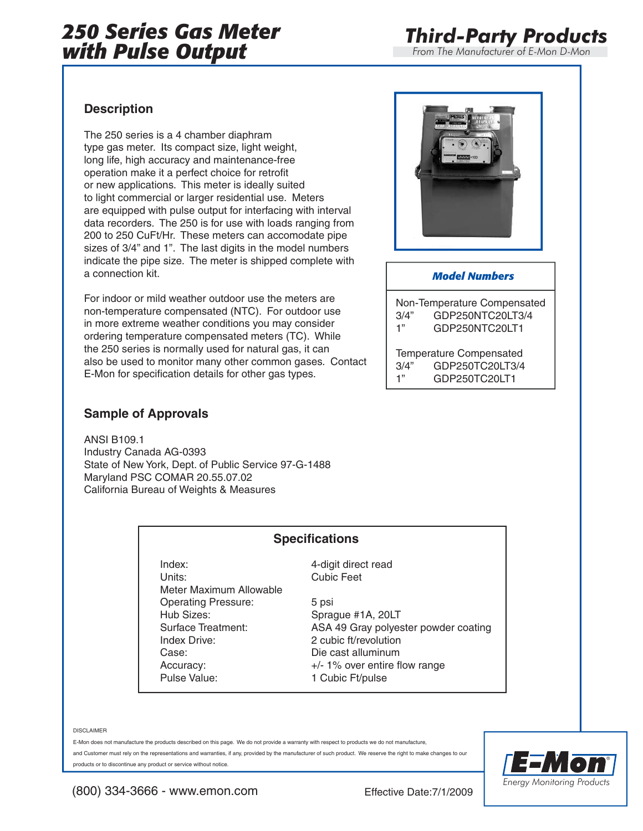## *250 Series Gas Meter with Pulse Output*

*From The Manufacturer of E-Mon D-Mon*

### **Description**

The 250 series is a 4 chamber diaphram type gas meter. Its compact size, light weight, long life, high accuracy and maintenance-free operation make it a perfect choice for retrofit or new applications. This meter is ideally suited to light commercial or larger residential use. Meters are equipped with pulse output for interfacing with interval data recorders. The 250 is for use with loads ranging from 200 to 250 CuFt/Hr. These meters can accomodate pipe sizes of 3/4" and 1". The last digits in the model numbers indicate the pipe size. The meter is shipped complete with a connection kit.

For indoor or mild weather outdoor use the meters are non-temperature compensated (NTC). For outdoor use in more extreme weather conditions you may consider ordering temperature compensated meters (TC). While the 250 series is normally used for natural gas, it can also be used to monitor many other common gases. Contact E-Mon for specification details for other gas types.

### **Sample of Approvals**

ANSI B109.1 Industry Canada AG-0393 State of New York, Dept. of Public Service 97-G-1488 Maryland PSC COMAR 20.55.07.02 California Bureau of Weights & Measures



#### *Model Numbers*

Non-Temperature Compensated 3/4" GDP250NTC20LT3/4 1" GDP250NTC20LT1

Temperature Compensated 3/4" GDP250TC20LT3/4 1" GDP250TC20LT1

### **Specifications**

Index: 4-digit direct read Units: Cubic Feet Meter Maximum Allowable Operating Pressure: 5 psi Hub Sizes: Sprague #1A, 20LT Index Drive: 2 cubic ft/revolution Case: Die cast alluminum Pulse Value: 1 Cubic Ft/pulse

Surface Treatment: ASA 49 Gray polyester powder coating Accuracy: +/- 1% over entire flow range

DISCLAIMER

E-Mon does not manufacture the products described on this page. We do not provide a warranty with respect to products we do not manufacture, and Customer must rely on the representations and warranties, if any, provided by the manufacturer of such product. We reserve the right to make changes to our products or to discontinue any product or service without notice.



(800) 334-3666 - www.emon.com Effective Date:7/1/2009